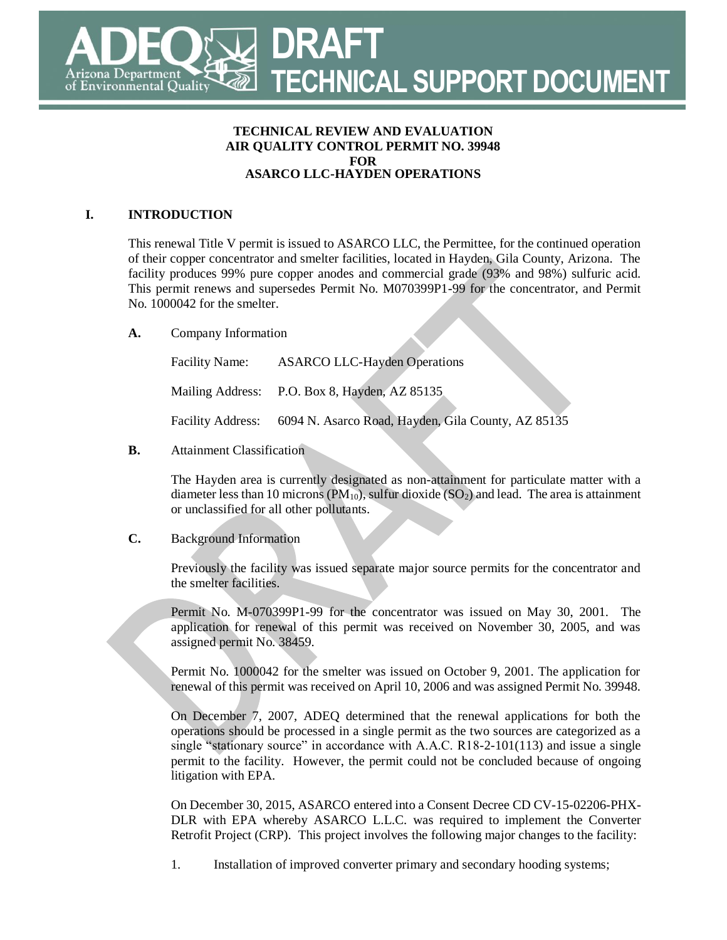# **DRAFT TECHNICAL SUPPORT DOCUMENT** rizona Department of Environmental Quality

#### **TECHNICAL REVIEW AND EVALUATION AIR QUALITY CONTROL PERMIT NO. 39948 FOR ASARCO LLC-HAYDEN OPERATIONS**

# **I. INTRODUCTION**

This renewal Title V permit is issued to ASARCO LLC, the Permittee, for the continued operation of their copper concentrator and smelter facilities, located in Hayden, Gila County, Arizona. The facility produces 99% pure copper anodes and commercial grade (93% and 98%) sulfuric acid. This permit renews and supersedes Permit No. M070399P1-99 for the concentrator, and Permit No. 1000042 for the smelter.

**A.** Company Information

| <b>Facility Name:</b> | <b>ASARCO LLC-Hayden Operations</b>                                  |
|-----------------------|----------------------------------------------------------------------|
|                       | Mailing Address: P.O. Box 8, Hayden, AZ 85135                        |
|                       | Facility Address: 6094 N. Asarco Road, Hayden, Gila County, AZ 85135 |

# **B.** Attainment Classification

The Hayden area is currently designated as non-attainment for particulate matter with a diameter less than 10 microns ( $PM_{10}$ ), sulfur dioxide ( $SO_2$ ) and lead. The area is attainment or unclassified for all other pollutants.

D

# **C.** Background Information

Previously the facility was issued separate major source permits for the concentrator and the smelter facilities.

Permit No. M-070399P1-99 for the concentrator was issued on May 30, 2001. The application for renewal of this permit was received on November 30, 2005, and was assigned permit No. 38459.

Permit No. 1000042 for the smelter was issued on October 9, 2001. The application for renewal of this permit was received on April 10, 2006 and was assigned Permit No. 39948.

On December 7, 2007, ADEQ determined that the renewal applications for both the operations should be processed in a single permit as the two sources are categorized as a single "stationary source" in accordance with A.A.C. R18-2-101(113) and issue a single permit to the facility. However, the permit could not be concluded because of ongoing litigation with EPA.

On December 30, 2015, ASARCO entered into a Consent Decree CD CV-15-02206-PHX-DLR with EPA whereby ASARCO L.L.C. was required to implement the Converter Retrofit Project (CRP). This project involves the following major changes to the facility:

1. Installation of improved converter primary and secondary hooding systems;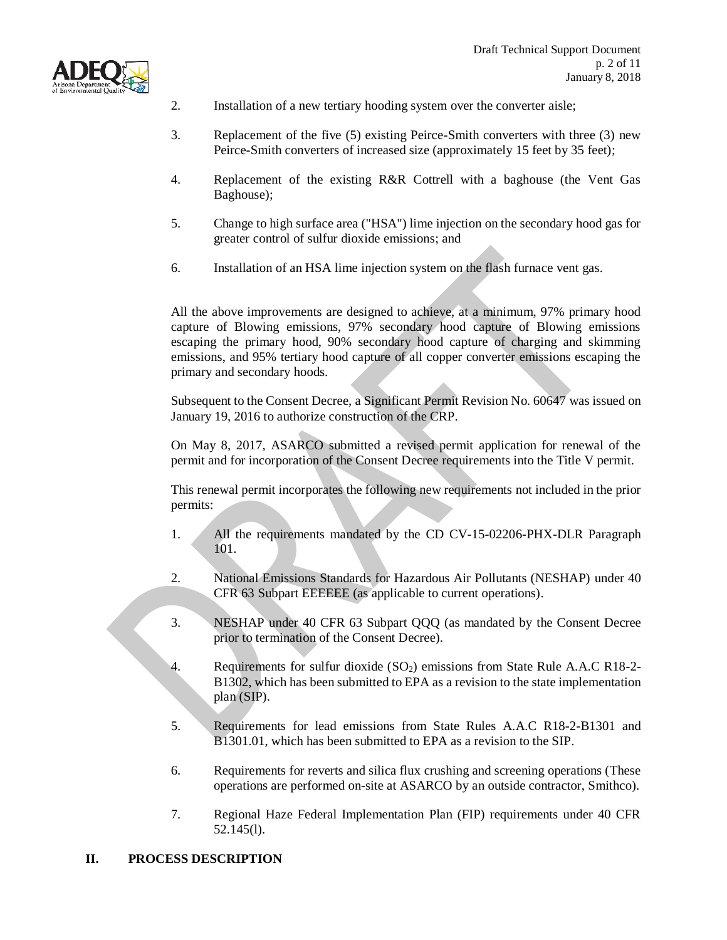



- 2. Installation of a new tertiary hooding system over the converter aisle;
- 3. Replacement of the five (5) existing Peirce-Smith converters with three (3) new Peirce-Smith converters of increased size (approximately 15 feet by 35 feet);
- 4. Replacement of the existing R&R Cottrell with a baghouse (the Vent Gas Baghouse);
- 5. Change to high surface area ("HSA") lime injection on the secondary hood gas for greater control of sulfur dioxide emissions; and
- 6. Installation of an HSA lime injection system on the flash furnace vent gas.

All the above improvements are designed to achieve, at a minimum, 97% primary hood capture of Blowing emissions, 97% secondary hood capture of Blowing emissions escaping the primary hood, 90% secondary hood capture of charging and skimming emissions, and 95% tertiary hood capture of all copper converter emissions escaping the primary and secondary hoods.

Subsequent to the Consent Decree, a Significant Permit Revision No. 60647 was issued on January 19, 2016 to authorize construction of the CRP.

On May 8, 2017, ASARCO submitted a revised permit application for renewal of the permit and for incorporation of the Consent Decree requirements into the Title V permit.

This renewal permit incorporates the following new requirements not included in the prior permits:

- 1. All the requirements mandated by the CD CV-15-02206-PHX-DLR Paragraph 101.
- 2. National Emissions Standards for Hazardous Air Pollutants (NESHAP) under 40 CFR 63 Subpart EEEEEE (as applicable to current operations).
- 3. NESHAP under 40 CFR 63 Subpart QQQ (as mandated by the Consent Decree prior to termination of the Consent Decree).
- 4. Requirements for sulfur dioxide (SO2) emissions from State Rule A.A.C R18-2- B1302, which has been submitted to EPA as a revision to the state implementation plan (SIP).
- 5. Requirements for lead emissions from State Rules A.A.C R18-2-B1301 and B1301.01, which has been submitted to EPA as a revision to the SIP.
- 6. Requirements for reverts and silica flux crushing and screening operations (These operations are performed on-site at ASARCO by an outside contractor, Smithco).
- 7. Regional Haze Federal Implementation Plan (FIP) requirements under 40 CFR 52.145(l).

#### **II. PROCESS DESCRIPTION**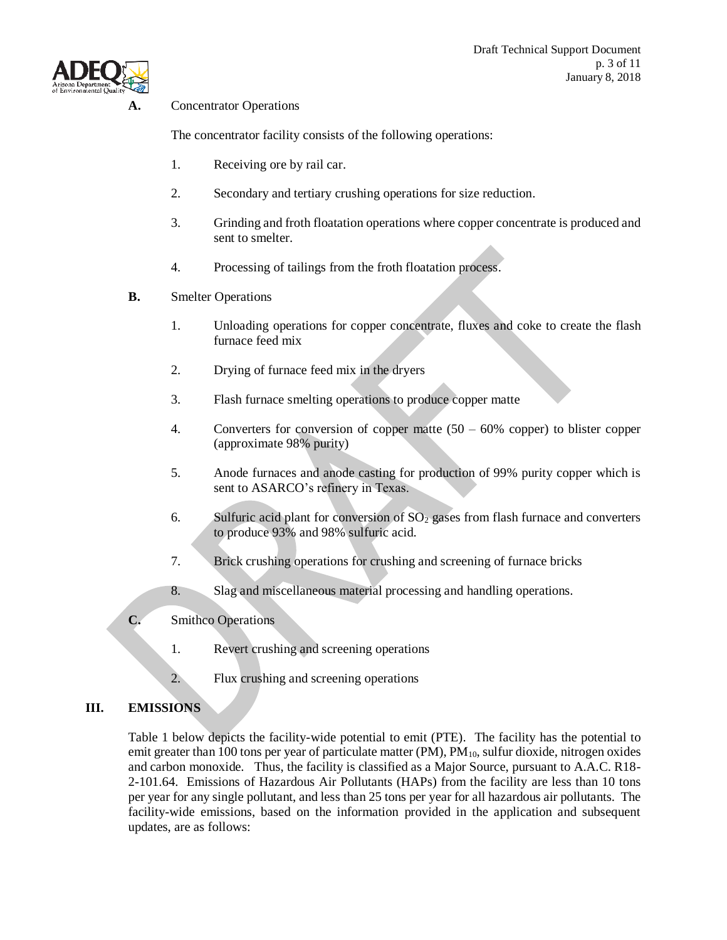

#### **A.** Concentrator Operations

The concentrator facility consists of the following operations:

- 1. Receiving ore by rail car.
- 2. Secondary and tertiary crushing operations for size reduction.
- 3. Grinding and froth floatation operations where copper concentrate is produced and sent to smelter.
- 4. Processing of tailings from the froth floatation process.
- **B.** Smelter Operations
	- 1. Unloading operations for copper concentrate, fluxes and coke to create the flash furnace feed mix
	- 2. Drying of furnace feed mix in the dryers
	- 3. Flash furnace smelting operations to produce copper matte
	- 4. Converters for conversion of copper matte (50 60% copper) to blister copper (approximate 98% purity)
	- 5. Anode furnaces and anode casting for production of 99% purity copper which is sent to ASARCO's refinery in Texas.
	- 6. Sulfuric acid plant for conversion of  $SO<sub>2</sub>$  gases from flash furnace and converters to produce 93% and 98% sulfuric acid.
	- 7. Brick crushing operations for crushing and screening of furnace bricks
	- 8. Slag and miscellaneous material processing and handling operations.
- **C.** Smithco Operations
	- 1. Revert crushing and screening operations
	- 2. Flux crushing and screening operations

# **III. EMISSIONS**

Table 1 below depicts the facility-wide potential to emit (PTE). The facility has the potential to emit greater than 100 tons per year of particulate matter  $(PM)$ ,  $PM<sub>10</sub>$ , sulfur dioxide, nitrogen oxides and carbon monoxide. Thus, the facility is classified as a Major Source, pursuant to A.A.C. R18- 2-101.64. Emissions of Hazardous Air Pollutants (HAPs) from the facility are less than 10 tons per year for any single pollutant, and less than 25 tons per year for all hazardous air pollutants. The facility-wide emissions, based on the information provided in the application and subsequent updates, are as follows: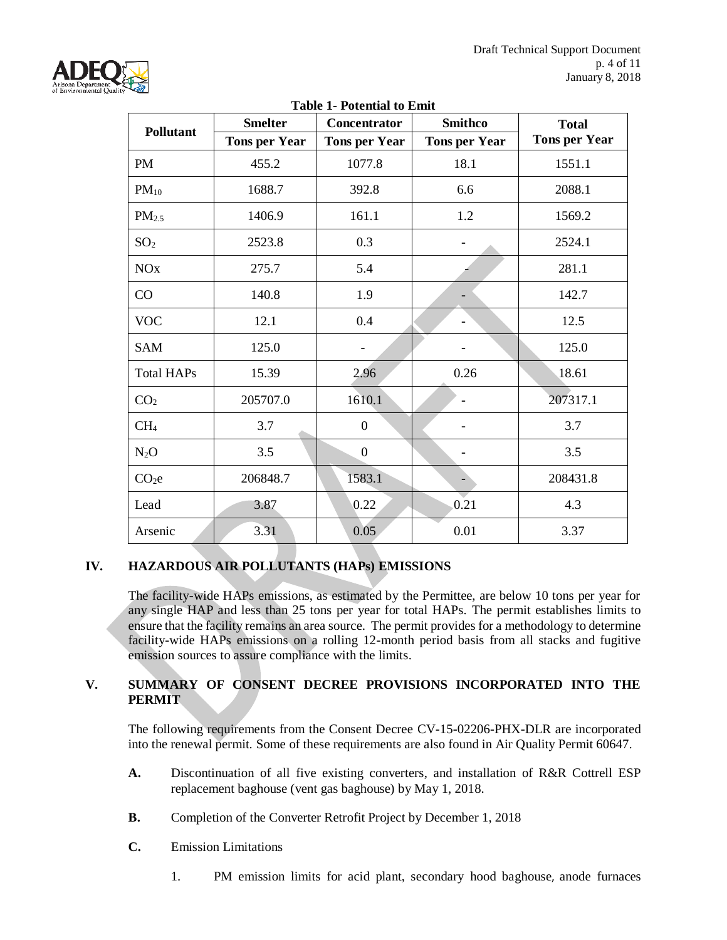

| Table 1- Potential to Emit |                      |                      |                      |                      |
|----------------------------|----------------------|----------------------|----------------------|----------------------|
| <b>Pollutant</b>           | <b>Smelter</b>       | Concentrator         | <b>Smithco</b>       | <b>Total</b>         |
|                            | <b>Tons per Year</b> | <b>Tons per Year</b> | <b>Tons per Year</b> | <b>Tons per Year</b> |
| <b>PM</b>                  | 455.2                | 1077.8               | 18.1                 | 1551.1               |
| $PM_{10}$                  | 1688.7               | 392.8                | 6.6                  | 2088.1               |
| PM <sub>2.5</sub>          | 1406.9               | 161.1                | 1.2                  | 1569.2               |
| SO <sub>2</sub>            | 2523.8               | 0.3                  |                      | 2524.1               |
| <b>NO<sub>x</sub></b>      | 275.7                | 5.4                  |                      | 281.1                |
| CO                         | 140.8                | 1.9                  |                      | 142.7                |
| <b>VOC</b>                 | 12.1                 | 0.4                  |                      | 12.5                 |
| <b>SAM</b>                 | 125.0                |                      |                      | 125.0                |
| <b>Total HAPs</b>          | 15.39                | 2.96                 | 0.26                 | 18.61                |
| CO <sub>2</sub>            | 205707.0             | 1610.1               |                      | 207317.1             |
| CH <sub>4</sub>            | 3.7                  | $\overline{0}$       |                      | 3.7                  |
| $N_2O$                     | 3.5                  | $\boldsymbol{0}$     |                      | 3.5                  |
| CO <sub>2</sub> e          | 206848.7             | 1583.1               |                      | 208431.8             |
| Lead                       | 3.87                 | 0.22                 | 0.21                 | 4.3                  |
| Arsenic                    | 3.31                 | 0.05                 | 0.01                 | 3.37                 |

#### **Table 1- Potential to Emit**

# **IV. HAZARDOUS AIR POLLUTANTS (HAPs) EMISSIONS**

The facility-wide HAPs emissions, as estimated by the Permittee, are below 10 tons per year for any single HAP and less than 25 tons per year for total HAPs. The permit establishes limits to ensure that the facility remains an area source. The permit provides for a methodology to determine facility-wide HAPs emissions on a rolling 12-month period basis from all stacks and fugitive emission sources to assure compliance with the limits.

#### **V. SUMMARY OF CONSENT DECREE PROVISIONS INCORPORATED INTO THE PERMIT**

The following requirements from the Consent Decree CV-15-02206-PHX-DLR are incorporated into the renewal permit. Some of these requirements are also found in Air Quality Permit 60647.

- **A.** Discontinuation of all five existing converters, and installation of R&R Cottrell ESP replacement baghouse (vent gas baghouse) by May 1, 2018.
- **B.** Completion of the Converter Retrofit Project by December 1, 2018
- **C.** Emission Limitations
	- 1. PM emission limits for acid plant, secondary hood baghouse, anode furnaces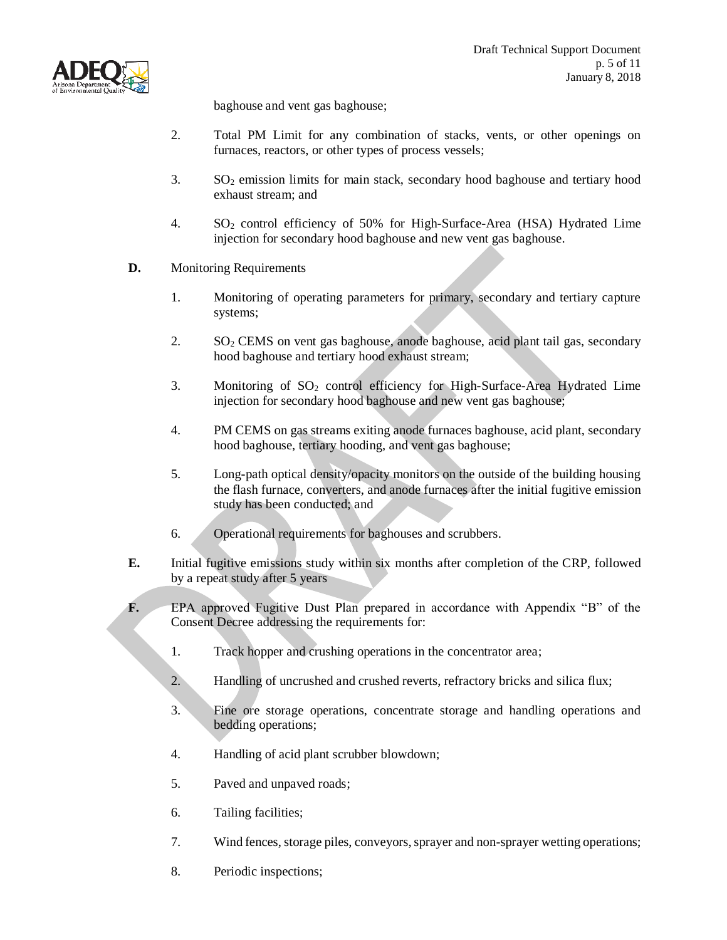

baghouse and vent gas baghouse;

- 2. Total PM Limit for any combination of stacks, vents, or other openings on furnaces, reactors, or other types of process vessels;
- 3. SO<sup>2</sup> emission limits for main stack, secondary hood baghouse and tertiary hood exhaust stream; and
- 4. SO<sup>2</sup> control efficiency of 50% for High-Surface-Area (HSA) Hydrated Lime injection for secondary hood baghouse and new vent gas baghouse.
- **D.** Monitoring Requirements
	- 1. Monitoring of operating parameters for primary, secondary and tertiary capture systems;
	- 2.  $SO<sub>2</sub>$  CEMS on vent gas baghouse, anode baghouse, acid plant tail gas, secondary hood baghouse and tertiary hood exhaust stream;
	- 3. Monitoring of  $SO_2$  control efficiency for High-Surface-Area Hydrated Lime injection for secondary hood baghouse and new vent gas baghouse;
	- 4. PM CEMS on gas streams exiting anode furnaces baghouse, acid plant, secondary hood baghouse, tertiary hooding, and vent gas baghouse;
	- 5. Long-path optical density/opacity monitors on the outside of the building housing the flash furnace, converters, and anode furnaces after the initial fugitive emission study has been conducted; and
	- 6. Operational requirements for baghouses and scrubbers.
- **E.** Initial fugitive emissions study within six months after completion of the CRP, followed by a repeat study after 5 years
- **F.** EPA approved Fugitive Dust Plan prepared in accordance with Appendix "B" of the Consent Decree addressing the requirements for:
	- 1. Track hopper and crushing operations in the concentrator area;
	- 2. Handling of uncrushed and crushed reverts, refractory bricks and silica flux;
	- 3. Fine ore storage operations, concentrate storage and handling operations and bedding operations;
	- 4. Handling of acid plant scrubber blowdown;
	- 5. Paved and unpaved roads;
	- 6. Tailing facilities;
	- 7. Wind fences, storage piles, conveyors, sprayer and non-sprayer wetting operations;
	- 8. Periodic inspections;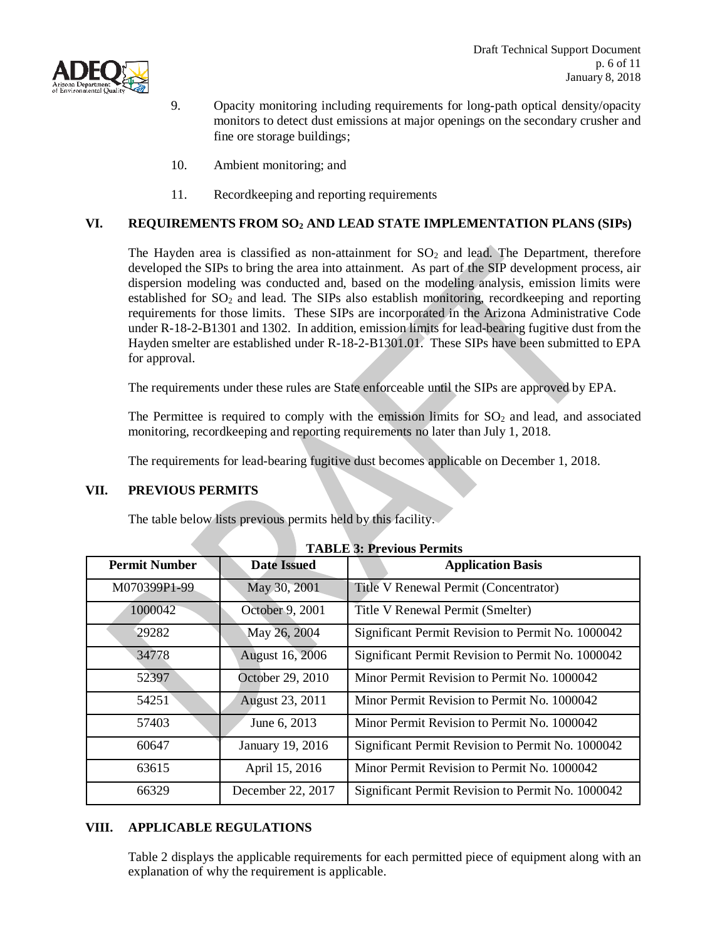



- 9. Opacity monitoring including requirements for long-path optical density/opacity monitors to detect dust emissions at major openings on the secondary crusher and fine ore storage buildings;
- 10. Ambient monitoring; and
- 11. Recordkeeping and reporting requirements

#### **VI. REQUIREMENTS FROM SO<sup>2</sup> AND LEAD STATE IMPLEMENTATION PLANS (SIPs)**

The Hayden area is classified as non-attainment for  $SO<sub>2</sub>$  and lead. The Department, therefore developed the SIPs to bring the area into attainment. As part of the SIP development process, air dispersion modeling was conducted and, based on the modeling analysis, emission limits were established for  $SO_2$  and lead. The SIPs also establish monitoring, recordkeeping and reporting requirements for those limits. These SIPs are incorporated in the Arizona Administrative Code under R-18-2-B1301 and 1302. In addition, emission limits for lead-bearing fugitive dust from the Hayden smelter are established under R-18-2-B1301.01. These SIPs have been submitted to EPA for approval.

The requirements under these rules are State enforceable until the SIPs are approved by EPA.

The Permittee is required to comply with the emission limits for  $SO<sub>2</sub>$  and lead, and associated monitoring, recordkeeping and reporting requirements no later than July 1, 2018.

The requirements for lead-bearing fugitive dust becomes applicable on December 1, 2018.

#### **VII. PREVIOUS PERMITS**

The table below lists previous permits held by this facility.

| <b>Permit Number</b> | <b>Date Issued</b> | <b>Application Basis</b>                          |
|----------------------|--------------------|---------------------------------------------------|
| M070399P1-99         | May 30, 2001       | Title V Renewal Permit (Concentrator)             |
| 1000042              | October 9, 2001    | Title V Renewal Permit (Smelter)                  |
| 29282                | May 26, 2004       | Significant Permit Revision to Permit No. 1000042 |
| 34778                | August 16, 2006    | Significant Permit Revision to Permit No. 1000042 |
| 52397                | October 29, 2010   | Minor Permit Revision to Permit No. 1000042       |
| 54251                | August 23, 2011    | Minor Permit Revision to Permit No. 1000042       |
| 57403                | June 6, 2013       | Minor Permit Revision to Permit No. 1000042       |
| 60647                | January 19, 2016   | Significant Permit Revision to Permit No. 1000042 |
| 63615                | April 15, 2016     | Minor Permit Revision to Permit No. 1000042       |
| 66329                | December 22, 2017  | Significant Permit Revision to Permit No. 1000042 |

**TABLE 3: Previous Permits**

#### **VIII. APPLICABLE REGULATIONS**

Table 2 displays the applicable requirements for each permitted piece of equipment along with an explanation of why the requirement is applicable.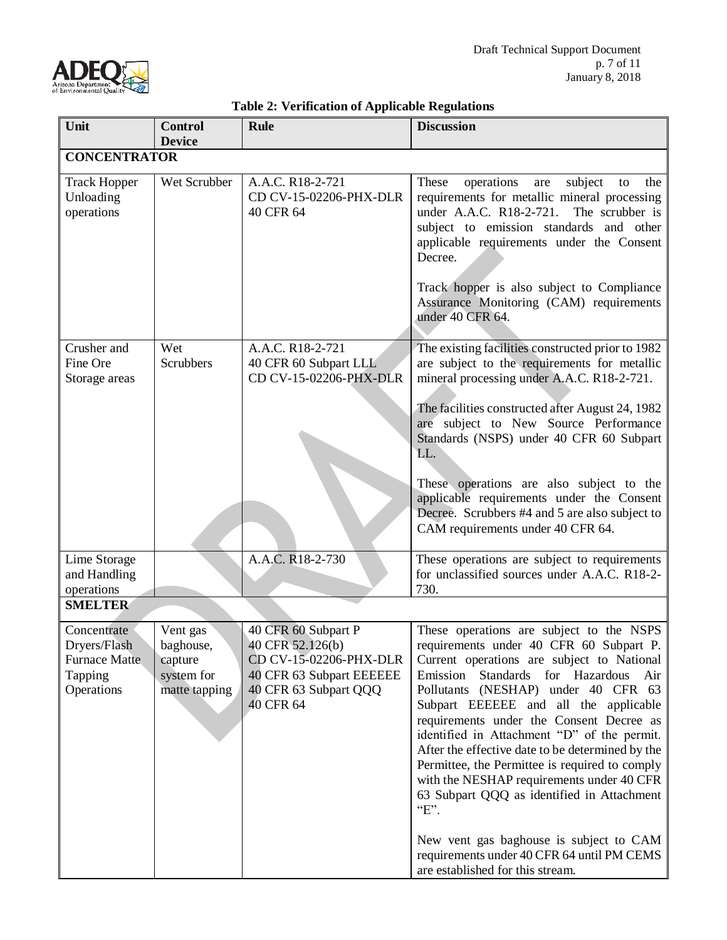

| Unit                                                                         | <b>Control</b>                                                  | radic 2. Vermeation of Teppheable regulations<br><b>Rule</b>                                                                        | <b>Discussion</b>                                                                                                                                                                                                                                                                                                                                                                                                                                                                                                                                                   |
|------------------------------------------------------------------------------|-----------------------------------------------------------------|-------------------------------------------------------------------------------------------------------------------------------------|---------------------------------------------------------------------------------------------------------------------------------------------------------------------------------------------------------------------------------------------------------------------------------------------------------------------------------------------------------------------------------------------------------------------------------------------------------------------------------------------------------------------------------------------------------------------|
|                                                                              | <b>Device</b>                                                   |                                                                                                                                     |                                                                                                                                                                                                                                                                                                                                                                                                                                                                                                                                                                     |
| <b>CONCENTRATOR</b>                                                          |                                                                 |                                                                                                                                     |                                                                                                                                                                                                                                                                                                                                                                                                                                                                                                                                                                     |
| <b>Track Hopper</b><br>Unloading<br>operations                               | Wet Scrubber                                                    | A.A.C. R18-2-721<br>CD CV-15-02206-PHX-DLR<br>40 CFR 64                                                                             | These<br>operations<br>subject<br>the<br>are<br>to<br>requirements for metallic mineral processing<br>under A.A.C. R18-2-721.<br>The scrubber is<br>subject to emission standards and other<br>applicable requirements under the Consent<br>Decree.<br>Track hopper is also subject to Compliance<br>Assurance Monitoring (CAM) requirements<br>under 40 CFR 64.                                                                                                                                                                                                    |
| Crusher and<br>Fine Ore<br>Storage areas                                     | Wet<br><b>Scrubbers</b>                                         | A.A.C. R18-2-721<br>40 CFR 60 Subpart LLL<br>CD CV-15-02206-PHX-DLR                                                                 | The existing facilities constructed prior to 1982<br>are subject to the requirements for metallic<br>mineral processing under A.A.C. R18-2-721.<br>The facilities constructed after August 24, 1982<br>are subject to New Source Performance<br>Standards (NSPS) under 40 CFR 60 Subpart<br>LL.                                                                                                                                                                                                                                                                     |
|                                                                              |                                                                 |                                                                                                                                     | These operations are also subject to the<br>applicable requirements under the Consent<br>Decree. Scrubbers #4 and 5 are also subject to<br>CAM requirements under 40 CFR 64.                                                                                                                                                                                                                                                                                                                                                                                        |
| Lime Storage<br>and Handling<br>operations                                   |                                                                 | A.A.C. R18-2-730                                                                                                                    | These operations are subject to requirements<br>for unclassified sources under A.A.C. R18-2-<br>730.                                                                                                                                                                                                                                                                                                                                                                                                                                                                |
| <b>SMELTER</b>                                                               |                                                                 |                                                                                                                                     |                                                                                                                                                                                                                                                                                                                                                                                                                                                                                                                                                                     |
| Concentrate<br>Dryers/Flash<br><b>Furnace Matte</b><br>Tapping<br>Operations | Vent gas<br>baghouse,<br>capture<br>system for<br>matte tapping | 40 CFR 60 Subpart P<br>40 CFR 52.126(b)<br>CD CV-15-02206-PHX-DLR<br>40 CFR 63 Subpart EEEEEE<br>40 CFR 63 Subpart QQQ<br>40 CFR 64 | These operations are subject to the NSPS<br>requirements under 40 CFR 60 Subpart P.<br>Current operations are subject to National<br>Emission<br>Standards for Hazardous<br>Air<br>Pollutants (NESHAP) under 40 CFR 63<br>Subpart EEEEEE and all the applicable<br>requirements under the Consent Decree as<br>identified in Attachment "D" of the permit.<br>After the effective date to be determined by the<br>Permittee, the Permittee is required to comply<br>with the NESHAP requirements under 40 CFR<br>63 Subpart QQQ as identified in Attachment<br>"E". |
|                                                                              |                                                                 |                                                                                                                                     | New vent gas baghouse is subject to CAM<br>requirements under 40 CFR 64 until PM CEMS<br>are established for this stream.                                                                                                                                                                                                                                                                                                                                                                                                                                           |

# **Table 2: Verification of Applicable Regulations**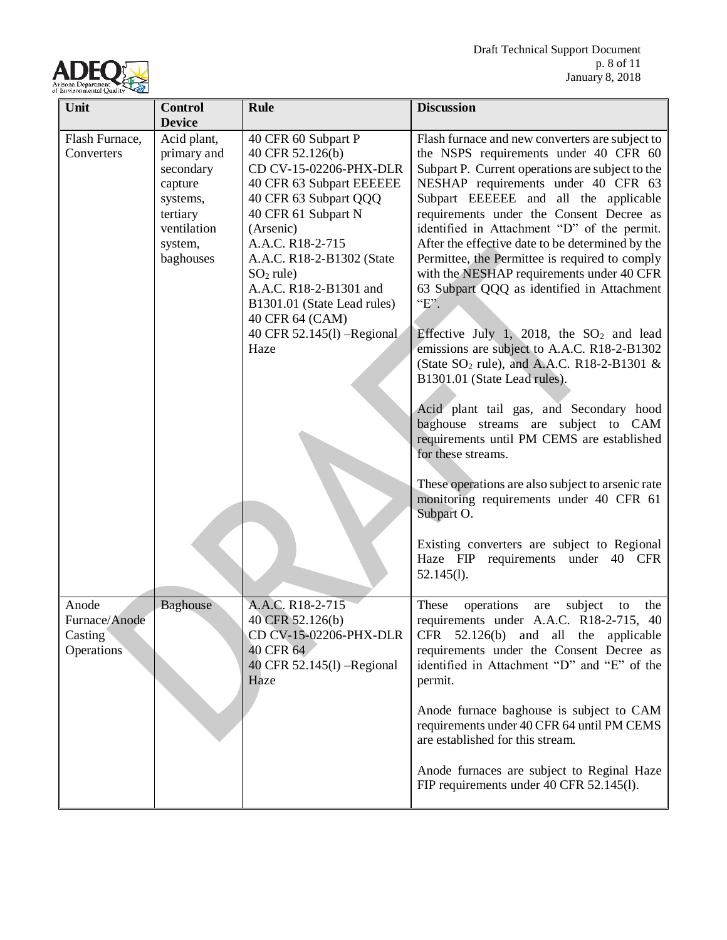

| Unit                                                   | <b>Control</b>                                                                                                    | <b>Rule</b>                                                                                                                                                                                                                                                                                                                                   | <b>Discussion</b>                                                                                                                                                                                                                                                                                                                                                                                                                                                                                                                                                                                                                                                                                                                                                                                                                                                                                                                                                                                                                                                                         |
|--------------------------------------------------------|-------------------------------------------------------------------------------------------------------------------|-----------------------------------------------------------------------------------------------------------------------------------------------------------------------------------------------------------------------------------------------------------------------------------------------------------------------------------------------|-------------------------------------------------------------------------------------------------------------------------------------------------------------------------------------------------------------------------------------------------------------------------------------------------------------------------------------------------------------------------------------------------------------------------------------------------------------------------------------------------------------------------------------------------------------------------------------------------------------------------------------------------------------------------------------------------------------------------------------------------------------------------------------------------------------------------------------------------------------------------------------------------------------------------------------------------------------------------------------------------------------------------------------------------------------------------------------------|
|                                                        | <b>Device</b>                                                                                                     |                                                                                                                                                                                                                                                                                                                                               |                                                                                                                                                                                                                                                                                                                                                                                                                                                                                                                                                                                                                                                                                                                                                                                                                                                                                                                                                                                                                                                                                           |
| Flash Furnace,<br>Converters                           | Acid plant,<br>primary and<br>secondary<br>capture<br>systems,<br>tertiary<br>ventilation<br>system,<br>baghouses | 40 CFR 60 Subpart P<br>40 CFR 52.126(b)<br>CD CV-15-02206-PHX-DLR<br>40 CFR 63 Subpart EEEEEE<br>40 CFR 63 Subpart QQQ<br>40 CFR 61 Subpart N<br>(Arsenic)<br>A.A.C. R18-2-715<br>A.A.C. R18-2-B1302 (State<br>$SO2$ rule)<br>A.A.C. R18-2-B1301 and<br>B1301.01 (State Lead rules)<br>40 CFR 64 (CAM)<br>40 CFR 52.145(1) - Regional<br>Haze | Flash furnace and new converters are subject to<br>the NSPS requirements under 40 CFR 60<br>Subpart P. Current operations are subject to the<br>NESHAP requirements under 40 CFR 63<br>Subpart EEEEEE and all the applicable<br>requirements under the Consent Decree as<br>identified in Attachment "D" of the permit.<br>After the effective date to be determined by the<br>Permittee, the Permittee is required to comply<br>with the NESHAP requirements under 40 CFR<br>63 Subpart QQQ as identified in Attachment<br>$E$ .<br>Effective July 1, 2018, the $SO2$ and lead<br>emissions are subject to A.A.C. R18-2-B1302<br>(State $SO_2$ rule), and A.A.C. R18-2-B1301 &<br>B1301.01 (State Lead rules).<br>Acid plant tail gas, and Secondary hood<br>baghouse streams are subject to CAM<br>requirements until PM CEMS are established<br>for these streams.<br>These operations are also subject to arsenic rate<br>monitoring requirements under 40 CFR 61<br>Subpart O.<br>Existing converters are subject to Regional<br>Haze FIP requirements under 40 CFR<br>$52.145(l)$ . |
| Anode<br>Furnace/Anode<br>Casting<br><b>Operations</b> | <b>Baghouse</b>                                                                                                   | A.A.C. R18-2-715<br>40 CFR 52.126(b)<br>CD CV-15-02206-PHX-DLR<br>40 CFR 64<br>40 CFR 52.145(1) - Regional<br>Haze                                                                                                                                                                                                                            | operations<br>subject<br>These<br>the<br>are<br>to<br>requirements under A.A.C. R18-2-715, 40<br>CFR $52.126(b)$ and all the applicable<br>requirements under the Consent Decree as<br>identified in Attachment "D" and "E" of the<br>permit.<br>Anode furnace baghouse is subject to CAM<br>requirements under 40 CFR 64 until PM CEMS<br>are established for this stream.<br>Anode furnaces are subject to Reginal Haze<br>FIP requirements under 40 CFR 52.145(1).                                                                                                                                                                                                                                                                                                                                                                                                                                                                                                                                                                                                                     |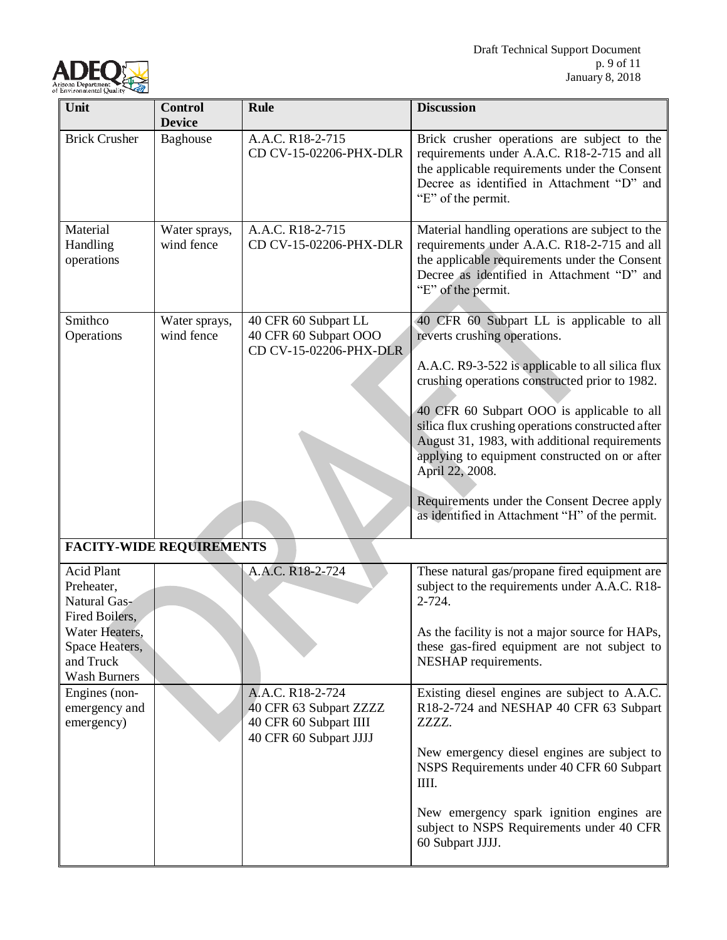

| Unit                                                                                                               | <b>Control</b><br><b>Device</b> | <b>Rule</b>                                                                                    | <b>Discussion</b>                                                                                                                                                                                                                                                                                                                                                                                                                                                                                        |
|--------------------------------------------------------------------------------------------------------------------|---------------------------------|------------------------------------------------------------------------------------------------|----------------------------------------------------------------------------------------------------------------------------------------------------------------------------------------------------------------------------------------------------------------------------------------------------------------------------------------------------------------------------------------------------------------------------------------------------------------------------------------------------------|
| <b>Brick Crusher</b>                                                                                               | Baghouse                        | A.A.C. R18-2-715<br>CD CV-15-02206-PHX-DLR                                                     | Brick crusher operations are subject to the<br>requirements under A.A.C. R18-2-715 and all<br>the applicable requirements under the Consent<br>Decree as identified in Attachment "D" and<br>"E" of the permit.                                                                                                                                                                                                                                                                                          |
| Material<br>Handling<br>operations                                                                                 | Water sprays,<br>wind fence     | A.A.C. R18-2-715<br>CD CV-15-02206-PHX-DLR                                                     | Material handling operations are subject to the<br>requirements under A.A.C. R18-2-715 and all<br>the applicable requirements under the Consent<br>Decree as identified in Attachment "D" and<br>"E" of the permit.                                                                                                                                                                                                                                                                                      |
| Smithco<br>Operations                                                                                              | Water sprays,<br>wind fence     | 40 CFR 60 Subpart LL<br>40 CFR 60 Subpart OOO<br>CD CV-15-02206-PHX-DLR                        | 40 CFR 60 Subpart LL is applicable to all<br>reverts crushing operations.<br>A.A.C. R9-3-522 is applicable to all silica flux<br>crushing operations constructed prior to 1982.<br>40 CFR 60 Subpart OOO is applicable to all<br>silica flux crushing operations constructed after<br>August 31, 1983, with additional requirements<br>applying to equipment constructed on or after<br>April 22, 2008.<br>Requirements under the Consent Decree apply<br>as identified in Attachment "H" of the permit. |
| <b>FACITY-WIDE REQUIREMENTS</b>                                                                                    |                                 |                                                                                                |                                                                                                                                                                                                                                                                                                                                                                                                                                                                                                          |
| <b>Acid Plant</b><br>Preheater,<br>Natural Gas-<br>Fired Boilers,<br>Water Heaters,<br>Space Heaters,<br>and Truck |                                 | A.A.C. R18-2-724                                                                               | These natural gas/propane fired equipment are<br>subject to the requirements under A.A.C. R18-<br>$2 - 724.$<br>As the facility is not a major source for HAPs,<br>these gas-fired equipment are not subject to<br>NESHAP requirements.                                                                                                                                                                                                                                                                  |
| <b>Wash Burners</b><br>Engines (non-<br>emergency and<br>emergency)                                                |                                 | A.A.C. R18-2-724<br>40 CFR 63 Subpart ZZZZ<br>40 CFR 60 Subpart IIII<br>40 CFR 60 Subpart JJJJ | Existing diesel engines are subject to A.A.C.<br>R18-2-724 and NESHAP 40 CFR 63 Subpart<br>ZZZZ.<br>New emergency diesel engines are subject to<br>NSPS Requirements under 40 CFR 60 Subpart<br>IIII.<br>New emergency spark ignition engines are<br>subject to NSPS Requirements under 40 CFR<br>60 Subpart JJJJ.                                                                                                                                                                                       |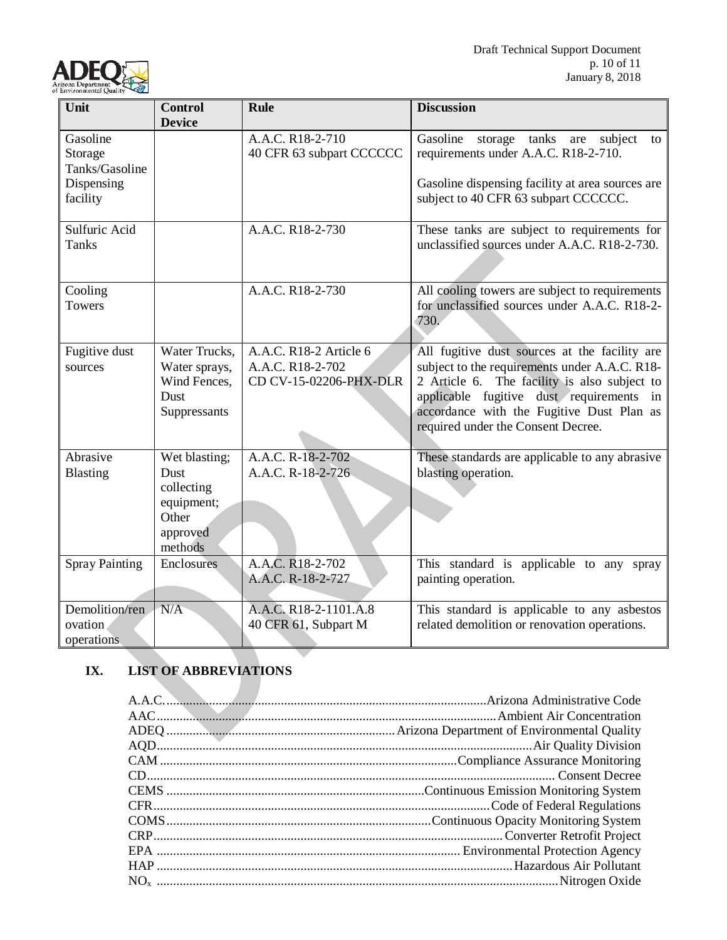

| Unit                                           | <b>Control</b>                                                                    | <b>Rule</b>                                                          | <b>Discussion</b>                                                                                                                                                                                                                                                             |
|------------------------------------------------|-----------------------------------------------------------------------------------|----------------------------------------------------------------------|-------------------------------------------------------------------------------------------------------------------------------------------------------------------------------------------------------------------------------------------------------------------------------|
|                                                | <b>Device</b>                                                                     |                                                                      |                                                                                                                                                                                                                                                                               |
| Gasoline<br>Storage<br>Tanks/Gasoline          |                                                                                   | A.A.C. R18-2-710<br>40 CFR 63 subpart CCCCCC                         | storage tanks are subject<br>Gasoline<br>to<br>requirements under A.A.C. R18-2-710.                                                                                                                                                                                           |
| Dispensing<br>facility                         |                                                                                   |                                                                      | Gasoline dispensing facility at area sources are<br>subject to 40 CFR 63 subpart CCCCCC.                                                                                                                                                                                      |
| Sulfuric Acid<br><b>Tanks</b>                  |                                                                                   | A.A.C. R18-2-730                                                     | These tanks are subject to requirements for<br>unclassified sources under A.A.C. R18-2-730.                                                                                                                                                                                   |
| Cooling<br><b>Towers</b>                       |                                                                                   | A.A.C. R18-2-730                                                     | All cooling towers are subject to requirements<br>for unclassified sources under A.A.C. R18-2-<br>730.                                                                                                                                                                        |
| Fugitive dust<br>sources                       | Water Trucks,<br>Water sprays,<br>Wind Fences,<br>Dust<br>Suppressants            | A.A.C. R18-2 Article 6<br>A.A.C. R18-2-702<br>CD CV-15-02206-PHX-DLR | All fugitive dust sources at the facility are<br>subject to the requirements under A.A.C. R18-<br>2 Article 6. The facility is also subject to<br>applicable fugitive dust requirements in<br>accordance with the Fugitive Dust Plan as<br>required under the Consent Decree. |
| Abrasive<br>Blasting                           | Wet blasting;<br>Dust<br>collecting<br>equipment;<br>Other<br>approved<br>methods | A.A.C. R-18-2-702<br>A.A.C. R-18-2-726                               | These standards are applicable to any abrasive<br>blasting operation.                                                                                                                                                                                                         |
| <b>Spray Painting</b>                          | Enclosures                                                                        | A.A.C. R18-2-702<br>A.A.C. R-18-2-727                                | This standard is applicable to any spray<br>painting operation.                                                                                                                                                                                                               |
| Demolition/ren<br>ovation<br><i>operations</i> | N/A                                                                               | A.A.C. R18-2-1101.A.8<br>40 CFR 61, Subpart M                        | This standard is applicable to any asbestos<br>related demolition or renovation operations.                                                                                                                                                                                   |

# **IX. LIST OF ABBREVIATIONS**